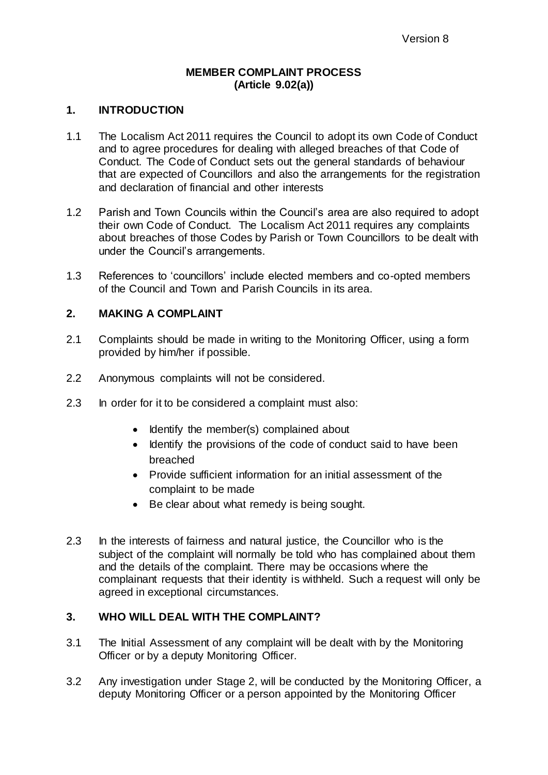## **MEMBER COMPLAINT PROCESS (Article 9.02(a))**

## **1. INTRODUCTION**

- 1.1 The Localism Act 2011 requires the Council to adopt its own Code of Conduct and to agree procedures for dealing with alleged breaches of that Code of Conduct. The Code of Conduct sets out the general standards of behaviour that are expected of Councillors and also the arrangements for the registration and declaration of financial and other interests
- 1.2 Parish and Town Councils within the Council's area are also required to adopt their own Code of Conduct. The Localism Act 2011 requires any complaints about breaches of those Codes by Parish or Town Councillors to be dealt with under the Council's arrangements.
- 1.3 References to 'councillors' include elected members and co-opted members of the Council and Town and Parish Councils in its area.

## **2. MAKING A COMPLAINT**

- 2.1 Complaints should be made in writing to the Monitoring Officer, using a form provided by him/her if possible.
- 2.2 Anonymous complaints will not be considered.
- 2.3 In order for it to be considered a complaint must also:
	- Identify the member(s) complained about
	- Identify the provisions of the code of conduct said to have been breached
	- Provide sufficient information for an initial assessment of the complaint to be made
	- Be clear about what remedy is being sought.
- 2.3 In the interests of fairness and natural justice, the Councillor who is the subject of the complaint will normally be told who has complained about them and the details of the complaint. There may be occasions where the complainant requests that their identity is withheld. Such a request will only be agreed in exceptional circumstances.

## **3. WHO WILL DEAL WITH THE COMPLAINT?**

- 3.1 The Initial Assessment of any complaint will be dealt with by the Monitoring Officer or by a deputy Monitoring Officer.
- 3.2 Any investigation under Stage 2, will be conducted by the Monitoring Officer, a deputy Monitoring Officer or a person appointed by the Monitoring Officer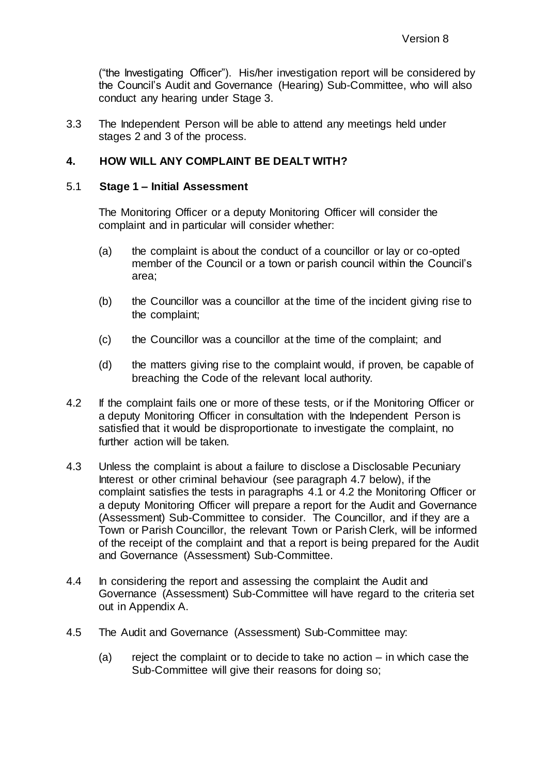("the Investigating Officer"). His/her investigation report will be considered by the Council's Audit and Governance (Hearing) Sub-Committee, who will also conduct any hearing under Stage 3.

3.3 The Independent Person will be able to attend any meetings held under stages 2 and 3 of the process.

## **4. HOW WILL ANY COMPLAINT BE DEALT WITH?**

#### 5.1 **Stage 1 – Initial Assessment**

The Monitoring Officer or a deputy Monitoring Officer will consider the complaint and in particular will consider whether:

- (a) the complaint is about the conduct of a councillor or lay or co-opted member of the Council or a town or parish council within the Council's area;
- (b) the Councillor was a councillor at the time of the incident giving rise to the complaint;
- (c) the Councillor was a councillor at the time of the complaint; and
- (d) the matters giving rise to the complaint would, if proven, be capable of breaching the Code of the relevant local authority.
- 4.2 If the complaint fails one or more of these tests, or if the Monitoring Officer or a deputy Monitoring Officer in consultation with the Independent Person is satisfied that it would be disproportionate to investigate the complaint, no further action will be taken.
- 4.3 Unless the complaint is about a failure to disclose a Disclosable Pecuniary Interest or other criminal behaviour (see paragraph 4.7 below), if the complaint satisfies the tests in paragraphs 4.1 or 4.2 the Monitoring Officer or a deputy Monitoring Officer will prepare a report for the Audit and Governance (Assessment) Sub-Committee to consider. The Councillor, and if they are a Town or Parish Councillor, the relevant Town or Parish Clerk, will be informed of the receipt of the complaint and that a report is being prepared for the Audit and Governance (Assessment) Sub-Committee.
- 4.4 In considering the report and assessing the complaint the Audit and Governance (Assessment) Sub-Committee will have regard to the criteria set out in Appendix A.
- 4.5 The Audit and Governance (Assessment) Sub-Committee may:
	- (a) reject the complaint or to decide to take no action in which case the Sub-Committee will give their reasons for doing so;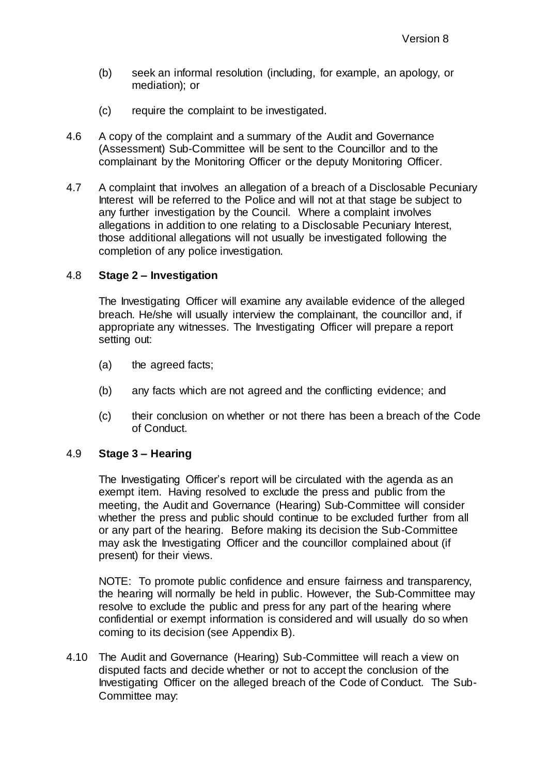- (b) seek an informal resolution (including, for example, an apology, or mediation); or
- (c) require the complaint to be investigated.
- 4.6 A copy of the complaint and a summary of the Audit and Governance (Assessment) Sub-Committee will be sent to the Councillor and to the complainant by the Monitoring Officer or the deputy Monitoring Officer.
- 4.7 A complaint that involves an allegation of a breach of a Disclosable Pecuniary Interest will be referred to the Police and will not at that stage be subject to any further investigation by the Council. Where a complaint involves allegations in addition to one relating to a Disclosable Pecuniary Interest, those additional allegations will not usually be investigated following the completion of any police investigation.

## 4.8 **Stage 2 – Investigation**

The Investigating Officer will examine any available evidence of the alleged breach. He/she will usually interview the complainant, the councillor and, if appropriate any witnesses. The Investigating Officer will prepare a report setting out:

- (a) the agreed facts;
- (b) any facts which are not agreed and the conflicting evidence; and
- (c) their conclusion on whether or not there has been a breach of the Code of Conduct.

## 4.9 **Stage 3 – Hearing**

The Investigating Officer's report will be circulated with the agenda as an exempt item. Having resolved to exclude the press and public from the meeting, the Audit and Governance (Hearing) Sub-Committee will consider whether the press and public should continue to be excluded further from all or any part of the hearing. Before making its decision the Sub-Committee may ask the Investigating Officer and the councillor complained about (if present) for their views.

NOTE: To promote public confidence and ensure fairness and transparency, the hearing will normally be held in public. However, the Sub-Committee may resolve to exclude the public and press for any part of the hearing where confidential or exempt information is considered and will usually do so when coming to its decision (see Appendix B).

4.10 The Audit and Governance (Hearing) Sub-Committee will reach a view on disputed facts and decide whether or not to accept the conclusion of the Investigating Officer on the alleged breach of the Code of Conduct. The Sub-Committee may: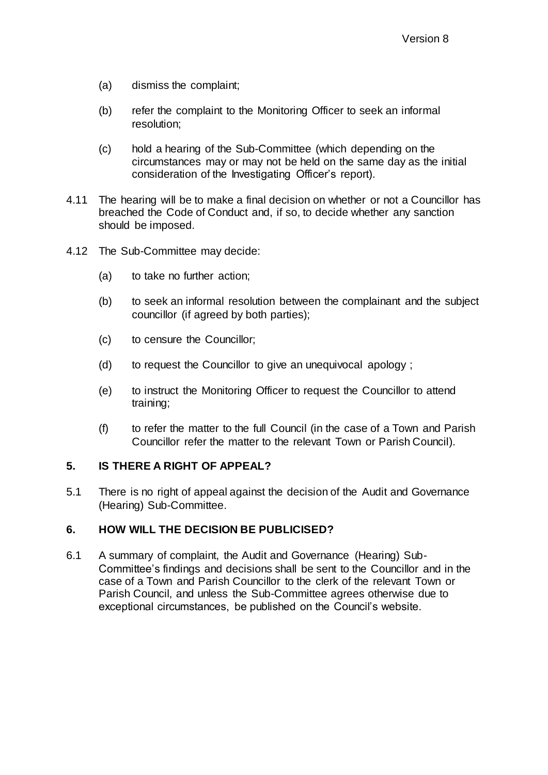- (a) dismiss the complaint;
- (b) refer the complaint to the Monitoring Officer to seek an informal resolution;
- (c) hold a hearing of the Sub-Committee (which depending on the circumstances may or may not be held on the same day as the initial consideration of the Investigating Officer's report).
- 4.11 The hearing will be to make a final decision on whether or not a Councillor has breached the Code of Conduct and, if so, to decide whether any sanction should be imposed.
- 4.12 The Sub-Committee may decide:
	- (a) to take no further action;
	- (b) to seek an informal resolution between the complainant and the subject councillor (if agreed by both parties);
	- (c) to censure the Councillor;
	- (d) to request the Councillor to give an unequivocal apology ;
	- (e) to instruct the Monitoring Officer to request the Councillor to attend training;
	- (f) to refer the matter to the full Council (in the case of a Town and Parish Councillor refer the matter to the relevant Town or Parish Council).

## **5. IS THERE A RIGHT OF APPEAL?**

5.1 There is no right of appeal against the decision of the Audit and Governance (Hearing) Sub-Committee.

## **6. HOW WILL THE DECISION BE PUBLICISED?**

6.1 A summary of complaint, the Audit and Governance (Hearing) Sub-Committee's findings and decisions shall be sent to the Councillor and in the case of a Town and Parish Councillor to the clerk of the relevant Town or Parish Council, and unless the Sub-Committee agrees otherwise due to exceptional circumstances, be published on the Council's website.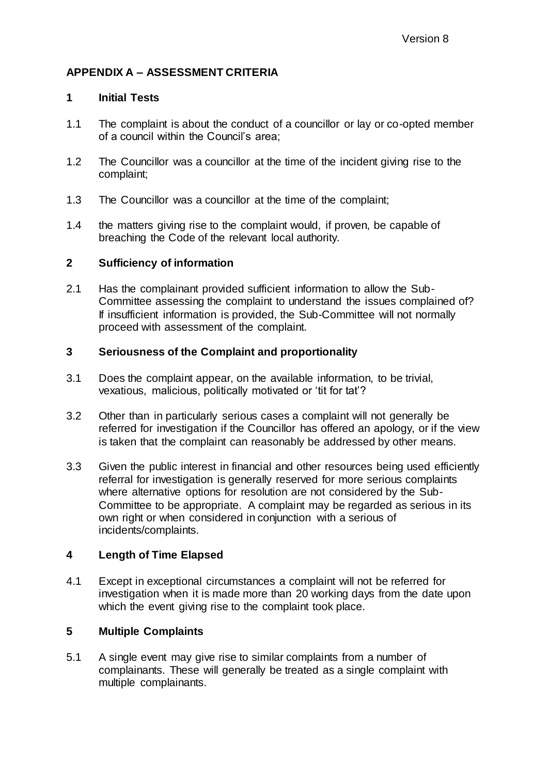# **APPENDIX A – ASSESSMENT CRITERIA**

## **1 Initial Tests**

- 1.1 The complaint is about the conduct of a councillor or lay or co-opted member of a council within the Council's area;
- 1.2 The Councillor was a councillor at the time of the incident giving rise to the complaint;
- 1.3 The Councillor was a councillor at the time of the complaint;
- 1.4 the matters giving rise to the complaint would, if proven, be capable of breaching the Code of the relevant local authority.

## **2 Sufficiency of information**

2.1 Has the complainant provided sufficient information to allow the Sub-Committee assessing the complaint to understand the issues complained of? If insufficient information is provided, the Sub-Committee will not normally proceed with assessment of the complaint.

# **3 Seriousness of the Complaint and proportionality**

- 3.1 Does the complaint appear, on the available information, to be trivial, vexatious, malicious, politically motivated or 'tit for tat'?
- 3.2 Other than in particularly serious cases a complaint will not generally be referred for investigation if the Councillor has offered an apology, or if the view is taken that the complaint can reasonably be addressed by other means.
- 3.3 Given the public interest in financial and other resources being used efficiently referral for investigation is generally reserved for more serious complaints where alternative options for resolution are not considered by the Sub-Committee to be appropriate. A complaint may be regarded as serious in its own right or when considered in conjunction with a serious of incidents/complaints.

# **4 Length of Time Elapsed**

4.1 Except in exceptional circumstances a complaint will not be referred for investigation when it is made more than 20 working days from the date upon which the event giving rise to the complaint took place.

# **5 Multiple Complaints**

5.1 A single event may give rise to similar complaints from a number of complainants. These will generally be treated as a single complaint with multiple complainants.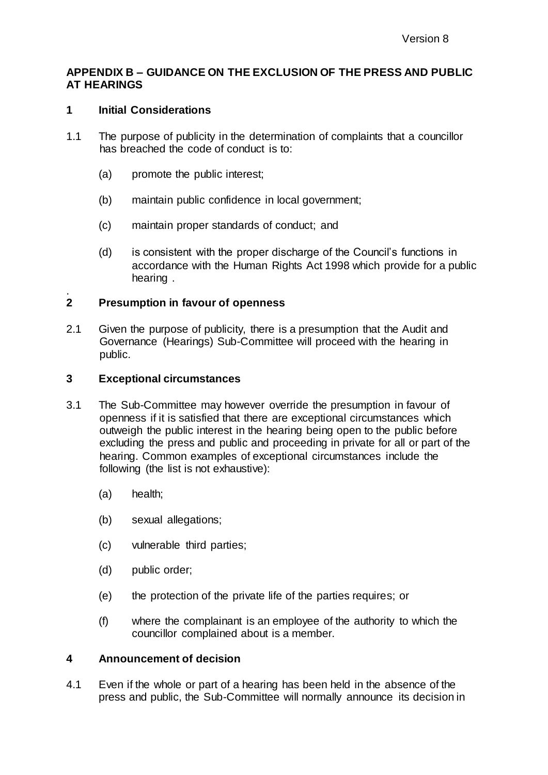#### **APPENDIX B – GUIDANCE ON THE EXCLUSION OF THE PRESS AND PUBLIC AT HEARINGS**

#### **1 Initial Considerations**

- 1.1 The purpose of publicity in the determination of complaints that a councillor has breached the code of conduct is to:
	- (a) promote the public interest;
	- (b) maintain public confidence in local government;
	- (c) maintain proper standards of conduct; and
	- (d) is consistent with the proper discharge of the Council's functions in accordance with the Human Rights Act 1998 which provide for a public hearing .

#### . **2 Presumption in favour of openness**

2.1 Given the purpose of publicity, there is a presumption that the Audit and Governance (Hearings) Sub-Committee will proceed with the hearing in public.

#### **3 Exceptional circumstances**

- 3.1 The Sub-Committee may however override the presumption in favour of openness if it is satisfied that there are exceptional circumstances which outweigh the public interest in the hearing being open to the public before excluding the press and public and proceeding in private for all or part of the hearing. Common examples of exceptional circumstances include the following (the list is not exhaustive):
	- (a) health;
	- (b) sexual allegations;
	- (c) vulnerable third parties;
	- (d) public order;
	- (e) the protection of the private life of the parties requires; or
	- (f) where the complainant is an employee of the authority to which the councillor complained about is a member.

#### **4 Announcement of decision**

4.1 Even if the whole or part of a hearing has been held in the absence of the press and public, the Sub-Committee will normally announce its decision in